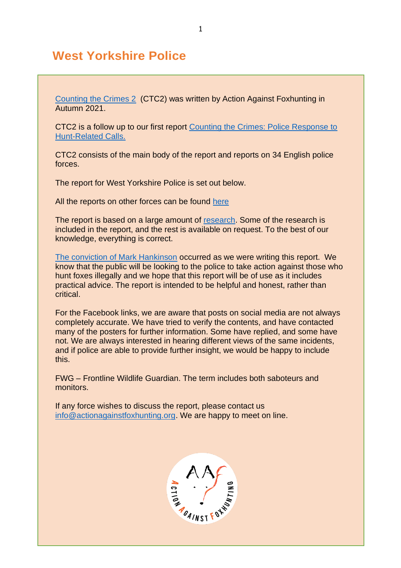# **West Yorkshire Police**

[Counting the Crimes 2](https://www.actionagainstfoxhunting.org/counting-the-crimes2-the-police-response/) (CTC2) was written by Action Against Foxhunting in Autumn 2021.

CTC2 is a follow up to our first report [Counting the Crimes: Police Response to](https://www.actionagainstfoxhunting.org/counting-the-crimes/)  [Hunt-Related Calls.](https://www.actionagainstfoxhunting.org/counting-the-crimes/)

CTC2 consists of the main body of the report and reports on 34 English police forces.

The report for West Yorkshire Police is set out below.

All the reports on other forces can be found [here](https://www.actionagainstfoxhunting.org/counting-the-crimes2-the-police-response/)

The report is based on a large amount of [research.](https://www.actionagainstfoxhunting.org/wp-content/uploads/2021/11/A-1411-Research-for-CTC2.pdf) Some of the research is included in the report, and the rest is available on request. To the best of our knowledge, everything is correct.

[The conviction of Mark Hankinson](https://www.league.org.uk/news-and-resources/news/hunting-office-webinars-the-road-to-conviction/) occurred as we were writing this report. We know that the public will be looking to the police to take action against those who hunt foxes illegally and we hope that this report will be of use as it includes practical advice. The report is intended to be helpful and honest, rather than critical.

For the Facebook links, we are aware that posts on social media are not always completely accurate. We have tried to verify the contents, and have contacted many of the posters for further information. Some have replied, and some have not. We are always interested in hearing different views of the same incidents, and if police are able to provide further insight, we would be happy to include this.

FWG – Frontline Wildlife Guardian. The term includes both saboteurs and monitors.

If any force wishes to discuss the report, please contact us [info@actionagainstfoxhunting.org.](mailto:info@actionagainstfoxhunting.org) We are happy to meet on line.

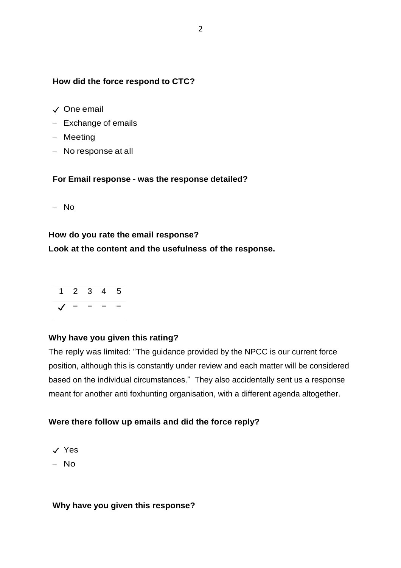### **How did the force respond to CTC?**

- ✓ One email
- Exchange of emails
- Meeting
- No response at all

#### **For Email response - was the response detailed?**

 $-$  No

### **How do you rate the email response?**

### **Look at the content and the usefulness of the response.**



### **Why have you given this rating?**

The reply was limited: "The guidance provided by the NPCC is our current force position, although this is constantly under review and each matter will be considered based on the individual circumstances." They also accidentally sent us a response meant for another anti foxhunting organisation, with a different agenda altogether.

### **Were there follow up emails and did the force reply?**

- ✓ Yes
- No

#### **Why have you given this response?**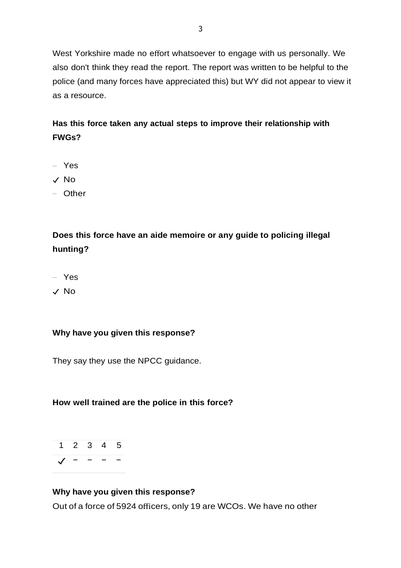West Yorkshire made no effort whatsoever to engage with us personally. We also don't think they read the report. The report was written to be helpful to the police (and many forces have appreciated this) but WY did not appear to view it as a resource.

## **Has this force taken any actual steps to improve their relationship with FWGs?**

- Yes
- ✓ No
- Other

# **Does this force have an aide memoire or any guide to policing illegal hunting?**

- Yes
- ✓ No

### **Why have you given this response?**

They say they use the NPCC guidance.

### **How well trained are the police in this force?**

$$
\begin{array}{cccc}\n1 & 2 & 3 & 4 & 5 \\
\hline\n\sqrt{10} & 1 & 0 & 0 & 0 \\
\hline\n\end{array}
$$

### **Why have you given this response?**

Out of a force of 5924 officers, only 19 are WCOs. We have no other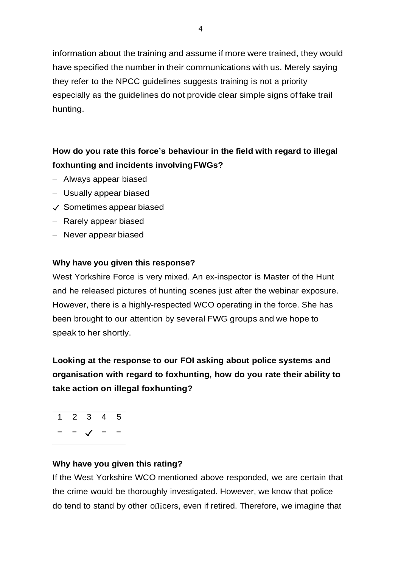information about the training and assume if more were trained, they would have specified the number in their communications with us. Merely saying they refer to the NPCC guidelines suggests training is not a priority especially as the guidelines do not provide clear simple signs of fake trail hunting.

## **How do you rate this force's behaviour in the field with regard to illegal foxhunting and incidents involvingFWGs?**

- Always appear biased
- Usually appear biased
- ✓ Sometimes appear biased
- Rarely appear biased
- Never appear biased

### **Why have you given this response?**

West Yorkshire Force is very mixed. An ex-inspector is Master of the Hunt and he released pictures of hunting scenes just after the webinar exposure. However, there is a highly-respected WCO operating in the force. She has been brought to our attention by several FWG groups and we hope to speak to her shortly.

**Looking at the response to our FOI asking about police systems and organisation with regard to foxhunting, how do you rate their ability to take action on illegal foxhunting?**

1 2 3 4 5 − − ✓ − −

### **Why have you given this rating?**

If the West Yorkshire WCO mentioned above responded, we are certain that the crime would be thoroughly investigated. However, we know that police do tend to stand by other officers, even if retired. Therefore, we imagine that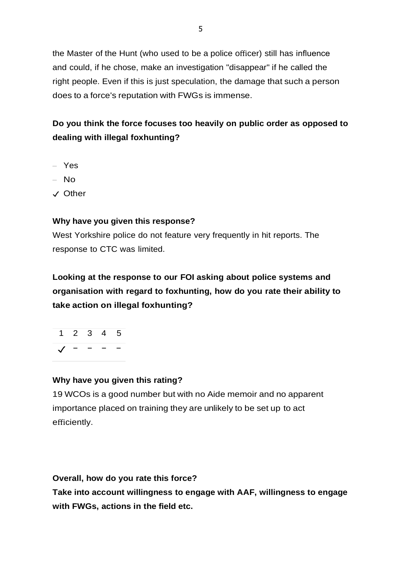the Master of the Hunt (who used to be a police officer) still has influence and could, if he chose, make an investigation "disappear" if he called the right people. Even if this is just speculation, the damage that such a person does to a force's reputation with FWGs is immense.

# **Do you think the force focuses too heavily on public order as opposed to dealing with illegal foxhunting?**

- Yes
- No
- ✓ Other

### **Why have you given this response?**

West Yorkshire police do not feature very frequently in hit reports. The response to CTC was limited.

**Looking at the response to our FOI asking about police systems and organisation with regard to foxhunting, how do you rate their ability to take action on illegal foxhunting?**

1 2 3 4 5  $J - - - -$ 

### **Why have you given this rating?**

19 WCOs is a good number but with no Aide memoir and no apparent importance placed on training they are unlikely to be set up to act efficiently.

**Overall, how do you rate this force?**

**Take into account willingness to engage with AAF, willingness to engage with FWGs, actions in the field etc.**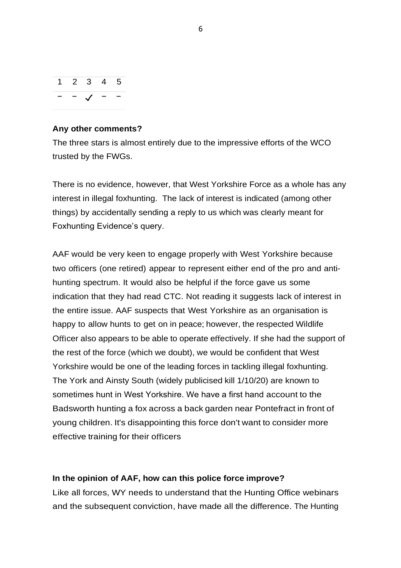

#### **Any other comments?**

The three stars is almost entirely due to the impressive efforts of the WCO trusted by the FWGs.

There is no evidence, however, that West Yorkshire Force as a whole has any interest in illegal foxhunting. The lack of interest is indicated (among other things) by accidentally sending a reply to us which was clearly meant for Foxhunting Evidence's query.

AAF would be very keen to engage properly with West Yorkshire because two officers (one retired) appear to represent either end of the pro and antihunting spectrum. It would also be helpful if the force gave us some indication that they had read CTC. Not reading it suggests lack of interest in the entire issue. AAF suspects that West Yorkshire as an organisation is happy to allow hunts to get on in peace; however, the respected Wildlife Officer also appears to be able to operate effectively. If she had the support of the rest of the force (which we doubt), we would be confident that West Yorkshire would be one of the leading forces in tackling illegal foxhunting. The York and Ainsty South (widely publicised kill 1/10/20) are known to sometimes hunt in West Yorkshire. We have a first hand account to the Badsworth hunting a fox across a back garden near Pontefract in front of young children. It's disappointing this force don't want to consider more effective training for their officers

#### **In the opinion of AAF, how can this police force improve?**

Like all forces, WY needs to understand that the Hunting Office webinars and the subsequent conviction, have made all the difference. The Hunting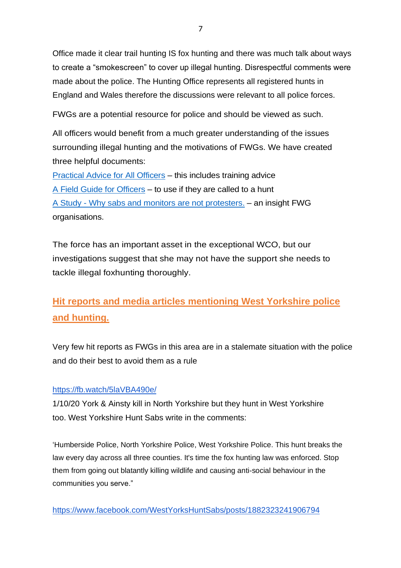Office made it clear trail hunting IS fox hunting and there was much talk about ways to create a "smokescreen" to cover up illegal hunting. Disrespectful comments were made about the police. The Hunting Office represents all registered hunts in England and Wales therefore the discussions were relevant to all police forces.

FWGs are a potential resource for police and should be viewed as such.

All officers would benefit from a much greater understanding of the issues surrounding illegal hunting and the motivations of FWGs. We have created three helpful documents:

[Practical Advice for All Officers](https://www.actionagainstfoxhunting.org/wp-content/uploads/2021/11/B-1411-Practical-Advice-for-all-Police-Forces.pdf) – this includes training advice [A Field Guide for Officers](https://www.actionagainstfoxhunting.org/wp-content/uploads/2021/11/A-1411-FIELD-GUIDE-ILLEGAL-FOXHUNTING.pdf) – to use if they are called to a hunt A Study - [Why sabs and monitors are not protesters.](https://www.actionagainstfoxhunting.org/wp-content/uploads/2021/11/A-1411-Why-sabs-and-monitors-arent-protesters.pdf) – an insight FWG organisations.

The force has an important asset in the exceptional WCO, but our investigations suggest that she may not have the support she needs to tackle illegal foxhunting thoroughly.

# **Hit reports and media articles mentioning West Yorkshire police and hunting.**

Very few hit reports as FWGs in this area are in a stalemate situation with the police and do their best to avoid them as a rule

### <https://fb.watch/5laVBA490e/>

1/10/20 York & Ainsty kill in North Yorkshire but they hunt in West Yorkshire too. West Yorkshire Hunt Sabs write in the comments:

'Humberside Police, North Yorkshire Police, West Yorkshire Police. This hunt breaks the law every day across all three counties. It's time the fox hunting law was enforced. Stop them from going out blatantly killing wildlife and causing anti-social behaviour in the communities you serve."

<https://www.facebook.com/WestYorksHuntSabs/posts/1882323241906794>